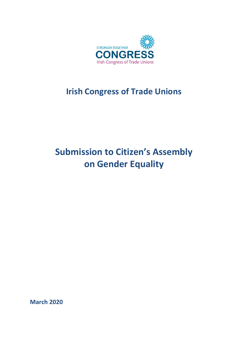

## **Irish Congress of Trade Unions**

# **Submission to Citizen's Assembly on Gender Equality**

**March 2020**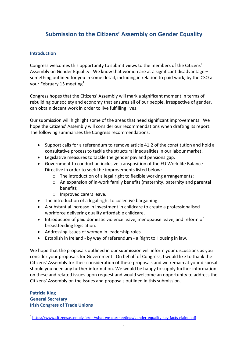## **Submission to the Citizens' Assembly on Gender Equality**

#### **Introduction**

Congress welcomes this opportunity to submit views to the members of the Citizens' Assembly on Gender Equality. We know that women are at a significant disadvantage – something outlined for you in some detail, including in relation to paid work, by the CSO at your February 15 meeting<sup>1</sup>.

Congress hopes that the Citizens' Assembly will mark a significant moment in terms of rebuilding our society and economy that ensures all of our people, irrespective of gender, can obtain decent work in order to live fulfilling lives.

Our submission will highlight some of the areas that need significant improvements. We hope the Citizens' Assembly will consider our recommendations when drafting its report. The following summarises the Congress recommendations:

- Support calls for a referendum to remove article 41.2 of the constitution and hold a consultative process to tackle the structural inequalities in our labour market.
- Legislative measures to tackle the gender pay and pensions gap.
- Government to conduct an inclusive transposition of the EU Work life Balance Directive in order to seek the improvements listed below:
	- $\circ$  The introduction of a legal right to flexible working arrangements;
	- o An expansion of in-work family benefits (maternity, paternity and parental benefit);
	- o Improved carers leave.
- The introduction of a legal right to collective bargaining.
- A substantial increase in investment in childcare to create a professionalised workforce delivering quality affordable childcare.
- Introduction of paid domestic violence leave, menopause leave, and reform of breastfeeding legislation.
- Addressing issues of women in leadership roles.
- Establish in Ireland by way of referendum a Right to Housing in law.

We hope that the proposals outlined in our submission will inform your discussions as you consider your proposals for Government. On behalf of Congress, I would like to thank the Citizens' Assembly for their consideration of these proposals and we remain at your disposal should you need any further information. We would be happy to supply further information on these and related issues upon request and would welcome an opportunity to address the Citizens' Assembly on the issues and proposals outlined in this submission.

## **Patricia King General Secretary Irish Congress of Trade Unions**

**.** 

<sup>&</sup>lt;sup>1</sup> <https://www.citizensassembly.ie/en/what-we-do/meetings/gender-equality-key-facts-elaine.pdf>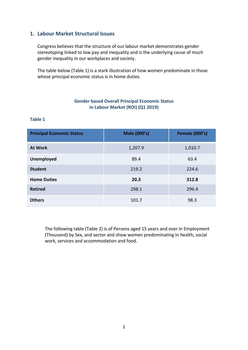## **1. Labour Market Structural Issues**

Congress believes that the structure of our labour market demonstrates gender stereotyping linked to low pay and inequality and is the underlying cause of much gender inequality in our workplaces and society.

The table below (Table 1) is a stark illustration of how women predominate in those whose principal economic status is in home duties.

#### **Gender based Overall Principal Economic Status in Labour Market (ROI) (Q1 2019)**

#### **Table 1**

| <b>Principal Economic Status</b> | <b>Male (000's)</b> | <b>Female (000's)</b> |
|----------------------------------|---------------------|-----------------------|
| <b>At Work</b>                   | 1,207.9             | 1,010.7               |
| <b>Unemployed</b>                | 89.4                | 63.4                  |
| <b>Student</b>                   | 219.2               | 224.6                 |
| <b>Home Duties</b>               | 20.3                | 312.8                 |
| <b>Retired</b>                   | 298.1               | 296.4                 |
| <b>Others</b>                    | 101.7               | 98.3                  |

The following table (Table 2) is of Persons aged 15 years and over in Employment (Thousand) by Sex, and sector and show women predominating in health, social work, services and accommodation and food.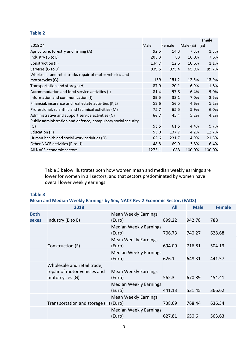#### **Table 2**

|                                                                             |        |        |          | Female |
|-----------------------------------------------------------------------------|--------|--------|----------|--------|
| 2019Q4                                                                      | Male   | Female | Male (%) | (% )   |
| Agriculture, forestry and fishing (A)                                       | 92.5   | 14.3   | 7.3%     | 1.3%   |
| Industry (B to E)                                                           | 203.3  | 83     | 16.0%    | 7.6%   |
| Construction (F)                                                            | 134.7  | 12.5   | 10.6%    | 1.1%   |
| Services (G to U)                                                           | 839.5  | 975.4  | 65.9%    | 89.7%  |
| Wholesale and retail trade, repair of motor vehicles and<br>motorcycles (G) | 159    | 151.2  | 12.5%    | 13.9%  |
| Transportation and storage (H)                                              | 87.9   | 20.1   | 6.9%     | 1.8%   |
| Accommodation and food service activities (I)                               | 81.4   | 97.8   | 6.4%     | 9.0%   |
| Information and communication (J)                                           | 89.5   | 38.1   | 7.0%     | 3.5%   |
| Financial, insurance and real estate activities (K,L)                       | 58.6   | 56.5   | 4.6%     | 5.2%   |
| Professional, scientific and technical activities (M)                       | 75.7   | 65.5   | 5.9%     | 6.0%   |
| Administrative and support service activities (N)                           | 66.7   | 45.4   | 5.2%     | 4.2%   |
| Public administration and defence, compulsory social security               |        |        |          |        |
| (O)                                                                         | 55.5   | 61.5   | 4.4%     | 5.7%   |
| Education (P)                                                               | 53.9   | 137.7  | 4.2%     | 12.7%  |
| Human health and social work activities (Q)                                 | 62.6   | 231.7  | 4.9%     | 21.3%  |
| Other NACE activities (R to U)                                              | 48.8   | 69.9   | 3.8%     | 6.4%   |
| All NACE economic sectors                                                   | 1273.1 | 1088   | 100.0%   | 100.0% |

Table 3 below illustrates both how women mean and median weekly earnings are lower for women in all sectors, and that sectors predominated by women have overall lower weekly earnings.

#### **Table 3**

**Mean and Median Weekly Earnings by Sex, NACE Rev 2 Economic Sector, (EADS)**

|                             | 2018                                                                           |                                         | <b>All</b> | <b>Male</b> | <b>Female</b> |
|-----------------------------|--------------------------------------------------------------------------------|-----------------------------------------|------------|-------------|---------------|
| <b>Both</b><br><b>sexes</b> | Industry (B to E)                                                              | <b>Mean Weekly Earnings</b><br>(Euro)   | 899.22     | 942.78      | 788           |
|                             |                                                                                | <b>Median Weekly Earnings</b><br>(Euro) | 706.73     | 740.27      | 628.68        |
|                             | Construction (F)                                                               | <b>Mean Weekly Earnings</b><br>(Euro)   | 694.09     | 716.81      | 504.13        |
|                             |                                                                                | <b>Median Weekly Earnings</b><br>(Euro) | 626.1      | 648.31      | 441.57        |
|                             | Wholesale and retail trade;<br>repair of motor vehicles and<br>motorcycles (G) | <b>Mean Weekly Earnings</b><br>(Euro)   | 562.3      | 670.89      | 454.41        |
|                             |                                                                                | <b>Median Weekly Earnings</b><br>(Euro) | 441.13     | 531.45      | 366.62        |
|                             | Transportation and storage (H) (Euro)                                          | <b>Mean Weekly Earnings</b>             | 738.69     | 768.44      | 636.34        |
|                             |                                                                                | <b>Median Weekly Earnings</b><br>(Euro) | 627.81     | 650.6       | 563.63        |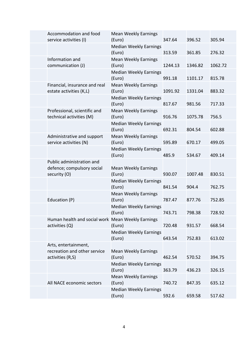| Accommodation and food<br>service activities (I)                         | <b>Mean Weekly Earnings</b><br>(Euro)   | 347.64  | 396.52  | 305.94  |
|--------------------------------------------------------------------------|-----------------------------------------|---------|---------|---------|
|                                                                          | <b>Median Weekly Earnings</b><br>(Euro) | 313.59  | 361.85  | 276.32  |
| Information and<br>communication (J)                                     | <b>Mean Weekly Earnings</b><br>(Euro)   | 1244.13 | 1346.82 | 1062.72 |
|                                                                          | <b>Median Weekly Earnings</b><br>(Euro) | 991.18  | 1101.17 | 815.78  |
| Financial, insurance and real<br>estate activities (K,L)                 | <b>Mean Weekly Earnings</b><br>(Euro)   | 1091.92 | 1331.04 | 883.32  |
|                                                                          | <b>Median Weekly Earnings</b><br>(Euro) | 817.67  | 981.56  | 717.33  |
| Professional, scientific and<br>technical activities (M)                 | <b>Mean Weekly Earnings</b><br>(Euro)   | 916.76  | 1075.78 | 756.5   |
|                                                                          | <b>Median Weekly Earnings</b><br>(Euro) | 692.31  | 804.54  | 602.88  |
| Administrative and support<br>service activities (N)                     | <b>Mean Weekly Earnings</b><br>(Euro)   | 595.89  | 670.17  | 499.05  |
|                                                                          | <b>Median Weekly Earnings</b><br>(Euro) | 485.9   | 534.67  | 409.14  |
| Public administration and<br>defence; compulsory social<br>security (O)  | <b>Mean Weekly Earnings</b><br>(Euro)   | 930.07  | 1007.48 | 830.51  |
|                                                                          | <b>Median Weekly Earnings</b><br>(Euro) | 841.54  | 904.4   | 762.75  |
| Education (P)                                                            | <b>Mean Weekly Earnings</b><br>(Euro)   | 787.47  | 877.76  | 752.85  |
|                                                                          | <b>Median Weekly Earnings</b><br>(Euro) | 743.71  | 798.38  | 728.92  |
| Human health and social work Mean Weekly Earnings<br>activities (Q)      | (Euro)                                  | 720.48  | 931.57  | 668.54  |
|                                                                          | <b>Median Weekly Earnings</b><br>(Euro) | 643.54  | 752.83  | 613.02  |
| Arts, entertainment,<br>recreation and other service<br>activities (R,S) | <b>Mean Weekly Earnings</b><br>(Euro)   | 462.54  | 570.52  | 394.75  |
|                                                                          | <b>Median Weekly Earnings</b><br>(Euro) | 363.79  | 436.23  | 326.15  |
| All NACE economic sectors                                                | <b>Mean Weekly Earnings</b><br>(Euro)   | 740.72  | 847.35  | 635.12  |
|                                                                          | <b>Median Weekly Earnings</b><br>(Euro) | 592.6   | 659.58  | 517.62  |
|                                                                          |                                         |         |         |         |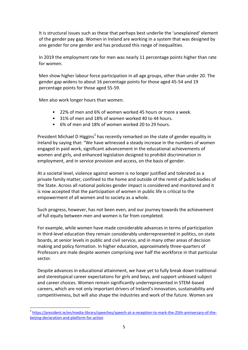It is structural issues such as these that perhaps best underlie the 'unexplained' element of the gender pay gap. Women in Ireland are working in a system that was designed by one gender for one gender and has produced this range of inequalities.

In 2019 the employment rate for men was nearly 11 percentage points higher than rate for women.

Men show higher labour force participation in all age groups, other than under 20. The gender gap widens to about 16 percentage points for those aged 45-54 and 19 percentage points for those aged 55-59.

Men also work longer hours than women.

- 22% of men and 6% of women worked 45 hours or more a week.
- 31% of men and 18% of women worked 40 to 44 hours.
- 6% of men and 18% of women worked 20 to 29 hours.

President Michael D Higgins<sup>2</sup> has recently remarked on the state of gender equality in Ireland by saying that: "We have witnessed a steady increase in the numbers of women engaged in paid work, significant advancement in the educational achievements of women and girls, and enhanced legislation designed to prohibit discrimination in employment, and in service provision and access, on the basis of gender.

At a societal level, violence against women is no longer justified and tolerated as a private family matter, confined to the home and outside of the remit of public bodies of the State. Across all national policies gender impact is considered and monitored and it is now accepted that the participation of women in public life is critical to the empowerment of all women and to society as a whole.

Such progress, however, has not been even, and our journey towards the achievement of full equity between men and women is far from completed.

For example, while women have made considerable advances in terms of participation in third-level education they remain considerably underrepresented in politics, on state boards, at senior levels in public and civil service, and in many other areas of decision making and policy formation. In higher education, approximately three-quarters of Professors are male despite women comprising over half the workforce in that particular sector.

Despite advances in educational attainment, we have yet to fully break down traditional and stereotypical career expectations for girls and boys, and support unbiased subject and career choices. Women remain significantly underrepresented in STEM-based careers, which are not only important drivers of Ireland's innovation, sustainability and competitiveness, but will also shape the industries and work of the future. Women are

 2 [https://president.ie/en/media-library/speeches/speech-at-a-reception-to-mark-the-25th-anniversary-of-the](https://president.ie/en/media-library/speeches/speech-at-a-reception-to-mark-the-25th-anniversary-of-the-beijing-declaration-and-platform-for-action)[beijing-declaration-and-platform-for-action](https://president.ie/en/media-library/speeches/speech-at-a-reception-to-mark-the-25th-anniversary-of-the-beijing-declaration-and-platform-for-action)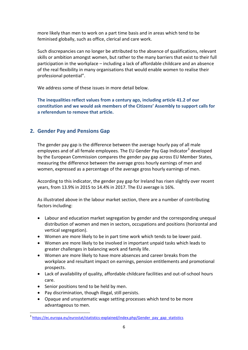more likely than men to work on a part time basis and in areas which tend to be feminised globally, such as office, clerical and care work.

Such discrepancies can no longer be attributed to the absence of qualifications, relevant skills or ambition amongst women, but rather to the many barriers that exist to their full participation in the workplace – including a lack of affordable childcare and an absence of the real flexibility in many organisations that would enable women to realise their professional potential".

We address some of these issues in more detail below.

**The inequalities reflect values from a century ago, including article 41.2 of our constitution and we would ask members of the Citizens' Assembly to support calls for a referendum to remove that article.** 

## **2. Gender Pay and Pensions Gap**

The gender pay gap is the difference between the average hourly pay of all male employees and of all female employees. The EU Gender Pay Gap Indicator<sup>3</sup> developed by the European Commission compares the gender pay gap across EU Member States, measuring the difference between the average gross hourly earnings of men and women, expressed as a percentage of the average gross hourly earnings of men.

According to this indicator, the gender pay gap for Ireland has risen slightly over recent years, from 13.9% in 2015 to 14.4% in 2017. The EU average is 16%.

As illustrated above in the labour market section, there are a number of contributing factors including:

- Labour and education market segregation by gender and the corresponding unequal distribution of women and men in sectors, occupations and positions (horizontal and vertical segregation).
- Women are more likely to be in part time work which tends to be lower paid.
- Women are more likely to be involved in important unpaid tasks which leads to greater challenges in balancing work and family life.
- Women are more likely to have more absences and career breaks from the workplace and resultant impact on earnings, pension entitlements and promotional prospects.
- Lack of availability of quality, affordable childcare facilities and out-of-school hours care.
- Senior positions tend to be held by men.
- Pay discrimination, though illegal, still persists.
- Opaque and unsystematic wage setting processes which tend to be more advantageous to men.

 3 [https://ec.europa.eu/eurostat/statistics-explained/index.php/Gender\\_pay\\_gap\\_statistics](https://ec.europa.eu/eurostat/statistics-explained/index.php/Gender_pay_gap_statistics)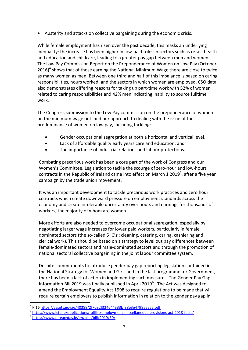Austerity and attacks on collective bargaining during the economic crisis.

While female employment has risen over the past decade, this masks an underlying inequality: the increase has been higher in low-paid roles in sectors such as retail, health and education and childcare, leading to a greater pay gap between men and women. The Low Pay Commission Report on the Preponderance of Women on Low Pay (October  $2016$ <sup>4</sup> shows that of those earning the National Minimum Wage there are close to twice as many women as men. Between one third and half of this imbalance is based on caring responsibilities, hours worked, and the sectors in which women are employed. CSO data also demonstrates differing reasons for taking up part-time work with 52% of women related to caring responsibilities and 42% men indicating inability to source fulltime work.

The Congress submission to the Low Pay commission on the preponderance of women on the minimum wage outlined our approach to dealing with the issue of the predominance of women on low pay, including tackling:

- Gender occupational segregation at both a horizontal and vertical level.
- Lack of affordable quality early years care and education; and
- The importance of industrial relations and labour protections.

Combating precarious work has been a core part of the work of Congress and our Women's Committee. Legislation to tackle the scourge of zero-hour and low-hours contracts in the Republic of Ireland came into effect on March 1 2019<sup>5</sup>, after a five year campaign by the trade union movement.

It was an important development to tackle precarious work practices and zero hour contracts which create downward pressure on employment standards across the economy and create intolerable uncertainty over hours and earnings for thousands of workers, the majority of whom are women.

More efforts are also needed to overcome occupational segregation, especially by negotiating larger wage increases for lower paid workers, particularly in female dominated sectors (the so-called 5 'C's': cleaning, catering, caring, cashiering and clerical work). This should be based on a strategy to level out pay differences between female-dominated sectors and male-dominated sectors and through the promotion of national sectoral collective bargaining in the joint labour committee system.

Despite commitments to introduce gender pay gap reporting legislation contained in the National Strategy for Women and Girls and in the last programme for Government, there has been a lack of action in implementing such measures. The Gender Pay Gap Information Bill 2019 was finally published in April 2019<sup>6</sup>. The Act was designed to amend the Employment Equality Act 1998 to require regulations to be made that will require certain employers to publish information in relation to the gender pay gap in

**.** 

<sup>4</sup> P.1[6 https://assets.gov.ie/40388/2f7092f324644333bf38e3e4799aeea5.pdf](https://assets.gov.ie/40388/2f7092f324644333bf38e3e4799aeea5.pdf)

<sup>5</sup> <https://www.ictu.ie/publications/fulllist/employment-miscellaneous-provisions-act-2018-facts/>

<sup>6</sup> <https://www.oireachtas.ie/en/bills/bill/2019/30/>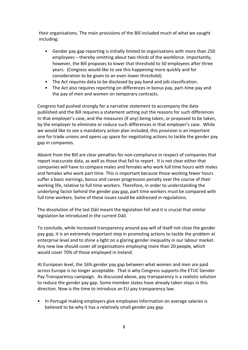their organisations. The main provisions of the Bill included much of what we sought including:

- Gender pay gap reporting is initially limited to organisations with more than 250 employees – thereby omitting about two-thirds of the workforce. Importantly, however, the Bill proposes to lower that threshold to 50 employees after three years. (Congress would like to see this happening more quickly and for consideration to be given to an even lower threshold).
- The Act requires data to be disclosed by pay band and job classification.
- The Act also requires reporting on differences in bonus pay, part-time pay and the pay of men and women on temporary contracts.

Congress had pushed strongly for a narrative statement to accompany the data published and the Bill requires a statement setting out the reasons for such differences in that employer's case, and the measures (if any) being taken, or proposed to be taken, by the employer to eliminate or reduce such differences in that employer's case. While we would like to see a mandatory action plan included, this provision is an important one for trade unions and opens up space for negotiating actions to tackle the gender pay gap in companies.

Absent from the Bill are clear penalties for non-compliance in respect of companies that report inaccurate data, as well as those that fail to report. It is not clear either that companies will have to compare males and females who work full time hours with males and females who work part time. This is important because those working fewer hours suffer a basic earnings, bonus and career progression penalty over the course of their working life, relative to full time workers. Therefore, in order to understanding the underlying factor behind the gender pay gap, part time workers must be compared with full time workers. Some of these issues could be addressed in regulations.

The dissolution of the last Dáil meant the legislation fell and it is crucial that similar legislation be introduced in the current Dáil.

To conclude, while increased transparency around pay will of itself not close the gender pay gap, it is an extremely important step in promoting actions to tackle the problem at enterprise level and to shine a light on a glaring gender inequality in our labour market. Any new law should cover all organisations employing more than 20 people, which would cover 70% of those employed in Ireland.

At European level, the 16% gender pay gap between what women and men are paid across Europe is no longer acceptable. That is why Congress supports the ETUC Gender Pay Transparency campaign. As discussed above, pay transparency is a realistic solution to reduce the gender pay gap. Some member states have already taken steps in this direction. Now is the time to introduce an EU pay transparency law.

• In Portugal making employers give employees information on average salaries is believed to be why it has a relatively small gender pay gap.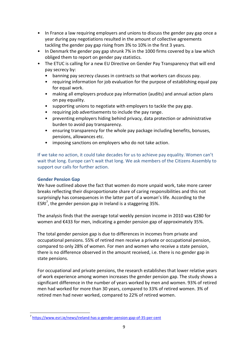- In France a law requiring employers and unions to discuss the gender pay gap once a year during pay negotiations resulted in the amount of collective agreements tackling the gender pay gap rising from 3% to 10% in the first 3 years.
- In Denmark the gender pay gap shrunk 7% in the 1000 firms covered by a law which obliged them to report on gender pay statistics.
- The ETUC is calling for a new EU Directive on Gender Pay Transparency that will end pay secrecy by:
	- banning pay secrecy clauses in contracts so that workers can discuss pay.
	- requiring information for job evaluation for the purpose of establishing equal pay for equal work.
	- making all employers produce pay information (audits) and annual action plans on pay equality.
	- supporting unions to negotiate with employers to tackle the pay gap.
	- requiring job advertisements to include the pay range.
	- preventing employers hiding behind privacy, data protection or administrative burden to avoid pay transparency.
	- ensuring transparency for the whole pay package including benefits, bonuses, pensions, allowances etc.
	- imposing sanctions on employers who do not take action.

If we take no action, it could take decades for us to achieve pay equality. Women can't wait that long. Europe can't wait that long. We ask members of the Citizens Assembly to support our calls for further action.

## **Gender Pension Gap**

**.** 

We have outlined above the fact that women do more unpaid work, take more career breaks reflecting their disproportionate share of caring responsibilities and this not surprisingly has consequences in the latter part of a woman's life. According to the ESRI<sup>7</sup>, the gender pension gap in Ireland is a staggering 35%.

The analysis finds that the average total weekly pension income in 2010 was €280 for women and €433 for men, indicating a gender pension gap of approximately 35%.

The total gender pension gap is due to differences in incomes from private and occupational pensions. 55% of retired men receive a private or occupational pension, compared to only 28% of women. For men and women who receive a state pension, there is no difference observed in the amount received, i.e. there is no gender gap in state pensions.

For occupational and private pensions, the research establishes that lower relative years of work experience among women increases the gender pension gap. The study shows a significant difference in the number of years worked by men and women. 93% of retired men had worked for more than 30 years, compared to 33% of retired women. 3% of retired men had never worked, compared to 22% of retired women.

<sup>&</sup>lt;sup>7</sup> <https://www.esri.ie/news/ireland-has-a-gender-pension-gap-of-35-per-cent>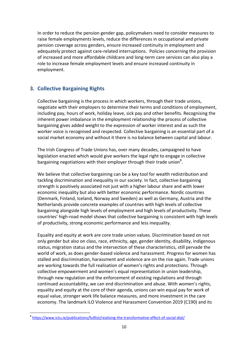In order to reduce the pension gender gap, policymakers need to consider measures to raise female employments levels, reduce the differences in occupational and private pension coverage across genders, ensure increased continuity in employment and adequately protect against care-related interruptions. Policies concerning the provision of increased and more affordable childcare and long-term care services can also play a role to increase female employment levels and ensure increased continuity in employment.

## **3. Collective Bargaining Rights**

Collective bargaining is the process in which workers, through their trade unions, negotiate with their employers to determine their terms and conditions of employment, including pay, hours of work, holiday leave, sick pay and other benefits. Recognising the inherent power imbalance in the employment relationship the process of collective bargaining gives added weight to the expression of worker interest and as such the worker voice is recognised and respected. Collective bargaining is an essential part of a social market economy and without it there is no balance between capital and labour.

The Irish Congress of Trade Unions has, over many decades, campaigned to have legislation enacted which would give workers the legal right to engage in collective bargaining negotiations with their employer through their trade union<sup>8</sup>.

We believe that collective bargaining can be a key tool for wealth redistribution and tackling discrimination and inequality in our society. In fact*,* collective bargaining strength is positively associated not just with a higher labour share and with lower economic inequality but also with better economic performance. Nordic countries (Denmark, Finland, Iceland, Norway and Sweden) as well as Germany, Austria and the Netherlands provide concrete examples of countries with high levels of collective bargaining alongside high levels of employment and high levels of productivity. These countries' high-road model shows that collective bargaining is consistent with high levels of productivity, strong economic performance and less inequality.

Equality and equity at work are core trade union values. Discrimination based on not only gender but also on class, race, ethnicity, age, gender identity, disability, indigenous status, migration status and the intersection of these characteristics, still pervade the world of work, as does gender-based violence and harassment. Progress for women has stalled and discrimination, harassment and violence are on the rise again. Trade unions are working towards the full realisation of women's rights and protections. Through collective empowerment and women's equal representation in union leadership, through new regulation and the enforcement of existing regulations and through continued accountability, we can end discrimination and abuse. With women's rights, equality and equity at the core of their agenda, unions can win equal pay for work of equal value, stronger work life balance measures, and more investment in the care economy. The landmark ILO Violence and Harassment Convention 2019 (C190) and its

a<br>8 <https://www.ictu.ie/publications/fulllist/realising-the-transformative-effect-of-social-dial/><br>}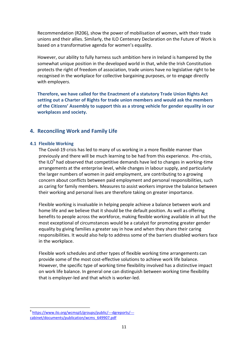Recommendation (R206), show the power of mobilisation of women, with their trade unions and their allies. Similarly, the ILO Centenary Declaration on the Future of Work is based on a transformative agenda for women's equality.

However, our ability to fully harness such ambition here in Ireland is hampered by the somewhat unique position in the developed world in that, while the Irish Constitution protects the right of freedom of association, trade unions have no legislative right to be recognised in the workplace for collective bargaining purposes, or to engage directly with employer*s.*

**Therefore, we have called for the Enactment of a statutory Trade Union Rights Act setting out a Charter of Rights for trade union members and would ask the members of the Citizens' Assembly to support this as a strong vehicle for gender equality in our workplaces and society.** 

## **4. Reconciling Work and Family Life**

#### **4.1 Flexible Working**

The Covid-19 crisis has led to many of us working in a more flexible manner than previously and there will be much learning to be had from this experience. Pre-crisis, the ILO<sup>9</sup> had observed that competitive demands have led to changes in working-time arrangements at the enterprise level, while changes in labour supply, and particularly the larger numbers of women in paid employment, are contributing to a growing concern about conflicts between paid employment and personal responsibilities, such as caring for family members. Measures to assist workers improve the balance between their working and personal lives are therefore taking on greater importance.

Flexible working is invaluable in helping people achieve a balance between work and home life and we believe that it should be the default position. As well as offering benefits to people across the workforce, making flexible working available in all but the most exceptional of circumstances would be a catalyst for promoting greater gender equality by giving families a greater say in how and when they share their caring responsibilities. It would also help to address some of the barriers disabled workers face in the workplace.

Flexible work schedules and other types of flexible working time arrangements can provide some of the most cost-effective solutions to achieve work life balance. However, the specific type of working time flexibility involved has a distinctive impact on work life balance. In general one can distinguish between working time flexibility that is employer-led and that which is worker-led.

<sup>1</sup> 9 [https://www.ilo.org/wcmsp5/groups/public/---dgreports/--](https://www.ilo.org/wcmsp5/groups/public/---dgreports/---cabinet/documents/publication/wcms_649907.pdf) [cabinet/documents/publication/wcms\\_649907.pdf](https://www.ilo.org/wcmsp5/groups/public/---dgreports/---cabinet/documents/publication/wcms_649907.pdf)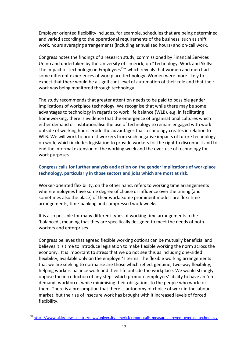Employer oriented flexibility includes, for example, schedules that are being determined and varied according to the operational requirements of the business, such as shift work, hours averaging arrangements (including annualised hours) and on-call work.

Congress notes the findings of a research study, commissioned by Financial Services Unino and undertaken by the University of Limerick, on "Technology, Work and Skills: The Impact of Technology on Employees<sup>10</sup>" which reveals that women and men had some different experiences of workplace technology. Women were more likely to expect that there would be a significant level of automation of their role and that their work was being monitored through technology.

The study recommends that greater attention needs to be paid to possible gender implications of workplace technology. We recognise that while there may be some advantages to technology in regards to work life balance (WLB), e.g. in facilitating homeworking, there is evidence that the emergence of organisational cultures which either demand or institutionalise the use of technology to remain engaged with work outside of working hours erode the advantages that technology creates in relation to WLB. We will work to protect workers from such negative impacts of future technology on work, which includes legislation to provide workers for the right to disconnect and to end the informal extension of the working week and the over-use of technology for work purposes.

## **Congress calls for further analysis and action on the gender implications of workplace technology, particularly in those sectors and jobs which are most at risk.**

Worker-oriented flexibility, on the other hand, refers to working time arrangements where employees have some degree of choice or influence over the timing (and sometimes also the place) of their work. Some prominent models are flexi-time arrangements, time-banking and compressed work weeks.

It is also possible for many different types of working time arrangements to be 'balanced', meaning that they are specifically designed to meet the needs of both workers and enterprises.

Congress believes that agreed flexible working options can be mutually beneficial and believes it is time to introduce legislation to make flexible working the norm across the economy. It is important to stress that we do not see this as including one-sided flexibility, available only on the employer's terms. The flexible working arrangements that we are seeking to normalise are those which reflect genuine, two-way flexibility, helping workers balance work and their life outside the workplace. We would strongly oppose the introduction of any steps which promote employers' ability to have an 'on demand' workforce, while minimising their obligations to the people who work for them. There is a presumption that there is autonomy of choice of work in the labour market, but the rise of insecure work has brought with it increased levels of forced flexibility.

**.** 

<sup>10</sup> <https://www.ul.ie/news-centre/news/university-limerick-report-calls-measures-prevent-overuse-technology>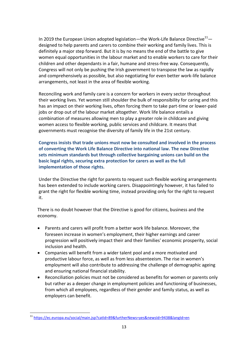In 2019 the European Union adopted legislation—the Work-Life Balance Directive<sup>11</sup> designed to help parents and carers to combine their working and family lives. This is definitely a major step forward. But it is by no means the end of the battle to give women equal opportunities in the labour market and to enable workers to care for their children and other dependants in a fair, humane and stress-free way. Consequently, Congress will not only be pushing the Irish government to transpose the law as rapidly and comprehensively as possible, but also negotiating for even better work-life balance arrangements, not least in the area of flexible working.

Reconciling work and family care is a concern for workers in every sector throughout their working lives. Yet women still shoulder the bulk of responsibility for caring and this has an impact on their working lives, often forcing them to take part-time or lower-paid jobs or drop out of the labour market altogether. Work life balance entails a combination of measures allowing men to play a greater role in childcare and giving women access to flexible working, public services and childcare. It means that governments must recognise the diversity of family life in the 21st century.

**Congress insists that trade unions must now be consulted and involved in the process of converting the Work Life Balance Directive into national law. The new Directive sets minimum standards but through collective bargaining unions can build on the basic legal rights, securing extra protection for carers as well as the full implementation of those rights.**

Under the Directive the right for parents to request such flexible working arrangements has been extended to include working carers. Disappointingly however, it has failed to grant the right for flexible working time, instead providing only for the right to request it.

There is no doubt however that the Directive is good for citizens, business and the economy.

- Parents and carers will profit from a better work life balance. Moreover, the foreseen increase in women's employment, their higher earnings and career progression will positively impact their and their families' economic prosperity, social inclusion and health.
- Companies will benefit from a wider talent pool and a more motivated and productive labour force, as well as from less absenteeism. The rise in women's employment will also contribute to addressing the challenge of demographic ageing and ensuring national financial stability.
- Reconciliation policies must not be considered as benefits for women or parents only but rather as a deeper change in employment policies and functioning of businesses, from which all employees, regardless of their gender and family status, as well as employers can benefit.

**.** 

<sup>&</sup>lt;sup>11</sup> <https://ec.europa.eu/social/main.jsp?catId=89&furtherNews=yes&newsId=9438&langId=en>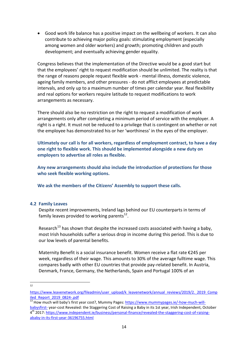Good work life balance has a positive impact on the wellbeing of workers. It can also contribute to achieving major policy goals: stimulating employment (especially among women and older workers) and growth; promoting children and youth development; and eventually achieving gender equality.

Congress believes that the implementation of the Directive would be a good start but that the employees' right to request modification should be unlimited. The reality is that the range of reasons people request flexible work - mental illness, domestic violence, ageing family members, and other pressures - do not afflict employees at predictable intervals, and only up to a maximum number of times per calendar year. Real flexibility and real options for workers require latitude to request modifications to work arrangements as necessary.

There should also be no restriction on the right to request a modification of work arrangements only after completing a minimum period of service with the employer. A right is a right. It must not be reduced to a privilege that is contingent on whether or not the employee has demonstrated his or her 'worthiness' in the eyes of the employer.

**Ultimately our call is for all workers, regardless of employment contract, to have a day one right to flexible work. This should be implemented alongside a new duty on employers to advertise all roles as flexible.** 

**Any new arrangements should also include the introduction of protections for those who seek flexible working options.** 

**We ask the members of the Citizens' Assembly to support these calls.** 

#### **4.2 Family Leaves**

Despite recent improvements, Ireland lags behind our EU counterparts in terms of family leaves provided to working parents $^{12}$ .

Research<sup>13</sup> has shown that despite the increased costs associated with having a baby, most Irish households suffer a serious drop in income during this period. This is due to our low levels of parental benefits.

Maternity Benefit is a social insurance benefit. Women receive a flat rate €245 per week, regardless of their wage. This amounts to 30% of the average fulltime wage. This compares badly with other EU countries that provide pay-related benefit. In Austria, Denmark, France, Germany, the Netherlands, Spain and Portugal 100% of an

 $\frac{1}{12}$ 

[https://www.leavenetwork.org/fileadmin/user\\_upload/k\\_leavenetwork/annual\\_reviews/2019/2.\\_2019\\_Comp](https://www.leavenetwork.org/fileadmin/user_upload/k_leavenetwork/annual_reviews/2019/2._2019_Compiled_Report_2019_0824-.pdf) [iled\\_Report\\_2019\\_0824-.pdf](https://www.leavenetwork.org/fileadmin/user_upload/k_leavenetwork/annual_reviews/2019/2._2019_Compiled_Report_2019_0824-.pdf)

<sup>13</sup> How much will baby's first year cost?, Mummy Pages: [https://www.mummypages.ie/-how-much-will](https://www.mummypages.ie/-how-much-will-babysfirst-)[babysfirst-](https://www.mummypages.ie/-how-much-will-babysfirst-) year-cost Revealed: the Staggering Cost of Raising a Baby in its 1st year, Irish Independent, October 4<sup>th</sup> 2017: [https://www.independent.ie/business/personal-finance/revealed-the-staggering-cost-of-raising](https://www.independent.ie/business/personal-finance/revealed-the-staggering-cost-of-raising-ababy-in-its-first-year-36196755.html)[ababy-in-its-first-year-36196755.html](https://www.independent.ie/business/personal-finance/revealed-the-staggering-cost-of-raising-ababy-in-its-first-year-36196755.html)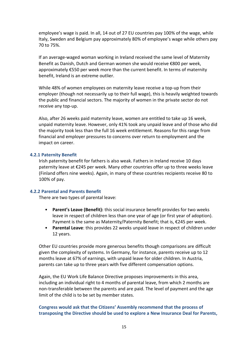employee's wage is paid. In all, 14 out of 27 EU countries pay 100% of the wage, while Italy, Sweden and Belgium pay approximately 80% of employee's wage while others pay 70 to 75%.

If an average-waged woman working in Ireland received the same level of Maternity Benefit as Danish, Dutch and German women she would receive €800 per week, approximately €550 per week more than the current benefit. In terms of maternity benefit, Ireland is an extreme outlier.

While 48% of women employees on maternity leave receive a top-up from their employer (though not necessarily up to their full wage), this is heavily weighted towards the public and financial sectors. The majority of women in the private sector do not receive any top-up.

Also, after 26 weeks paid maternity leave, women are entitled to take up 16 week, unpaid maternity leave. However, only 41% took any unpaid leave and of those who did the majority took less than the full 16 week entitlement. Reasons for this range from financial and employer pressures to concerns over return to employment and the impact on career.

#### **4.2.1 Paternity Benefit**

Irish paternity benefit for fathers is also weak. Fathers in Ireland receive 10 days paternity leave at €245 per week. Many other countries offer up to three weeks leave (Finland offers nine weeks). Again, in many of these countries recipients receive 80 to 100% of pay.

#### **4.2.2 Parental and Parents Benefit**

There are two types of parental leave:

- **Parent's Leave (Benefit):** this social insurance benefit provides for two weeks leave in respect of children less than one year of age (or first year of adoption). Payment is the same as Maternity/Paternity Benefit; that is, €245 per week.
- **Parental Leave**: this provides 22 weeks unpaid leave in respect of children under 12 years.

Other EU countries provide more generous benefits though comparisons are difficult given the complexity of systems. In Germany, for instance, parents receive up to 12 months leave at 67% of earnings, with unpaid leave for older children. In Austria, parents can take up to three years with five different compensation options.

Again, the EU Work Life Balance Directive proposes improvements in this area, including an individual right to 4 months of parental leave, from which 2 months are non-transferable between the parents and are paid. The level of payment and the age limit of the child is to be set by member states.

#### **Congress would ask that the Citizens' Assembly recommend that the process of transposing the Directive should be used to explore a New Insurance Deal for Parents,**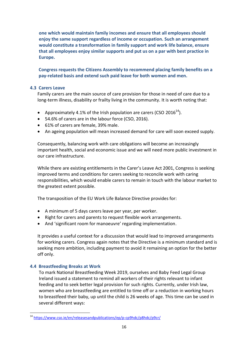**one which would maintain family incomes and ensure that all employees should enjoy the same support regardless of income or occupation. Such an arrangement would constitute a transformation in family support and work life balance, ensure that all employees enjoy similar supports and put us on a par with best practice in Europe.** 

**Congress requests the Citizens Assembly to recommend placing family benefits on a pay-related basis and extend such paid leave for both women and men.**

## **4.3 Carers Leave**

Family carers are the main source of care provision for those in need of care due to a long-term illness, disability or frailty living in the community. It is worth noting that:

- Approximately 4.1% of the Irish population are carers (CSO 2016<sup>14</sup>).
- 54.6% of carers are in the labour force (CSO, 2016).
- 61% of carers are female, 39% male.
- An ageing population will mean increased demand for care will soon exceed supply.

Consequently, balancing work with care obligations will become an increasingly important health, social and economic issue and we will need more public investment in our care infrastructure.

While there are existing entitlements in the Carer's Leave Act 2001, Congress is seeking improved terms and conditions for carers seeking to reconcile work with caring responsibilities, which would enable carers to remain in touch with the labour market to the greatest extent possible.

The transposition of the EU Work Life Balance Directive provides for:

- A minimum of 5 days carers leave per year, per worker.
- Right for carers and parents to request flexible work arrangements.
- And 'significant room for manoeuvre' regarding implementation.

It provides a useful context for a discussion that would lead to improved arrangements for working carers. Congress again notes that the Directive is a minimum standard and is seeking more ambition, including payment to avoid it remaining an option for the better off only.

## **4.4 Breastfeeding Breaks at Work**

To mark National Breastfeeding Week 2019, ourselves and Baby Feed Legal Group Ireland issued a statement to remind all workers of their rights relevant to infant feeding and to seek better legal provision for such rights. Currently, under Irish law, women who are breastfeeding are entitled to time off or a reduction in working hours to breastfeed their baby, up until the child is 26 weeks of age. This time can be used in several different ways:

**<sup>.</sup>** <sup>14</sup> <https://www.cso.ie/en/releasesandpublications/ep/p-cp9hdc/p8hdc/p9cr/>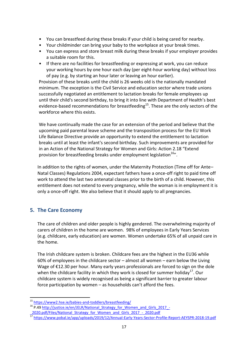- You can breastfeed during these breaks if your child is being cared for nearby.
- Your childminder can bring your baby to the workplace at your break times.
- You can express and store breast milk during these breaks if your employer provides a suitable room for this.
- If there are no facilities for breastfeeding or expressing at work, you can reduce your working hours by one hour each day (per eight-hour working day) without loss of pay (e.g. by starting an hour later or leaving an hour earlier).

Provision of these breaks until the child is 26 weeks old is the nationally mandated minimum. The exception is the Civil Service and education sector where trade unions successfully negotiated an entitlement to lactation breaks for female employees up until their child's second birthday, to bring it into line with Department of Health's best evidence-based recommendations for breastfeeding<sup>15</sup>. These are the only sectors of the workforce where this exists.

We have continually made the case for an extension of the period and believe that the upcoming paid parental leave scheme and the transposition process for the EU Work Life Balance Directive provide an opportunity to extend the entitlement to lactation breaks until at least the infant's second birthday. Such improvements are provided for in an Action of the National Strategy for Women and Girls: Action 2.18 "Extend provision for breastfeeding breaks under employment legislation<sup>16</sup>".

In addition to the rights of women, under the Maternity Protection (Time off for Ante– Natal Classes) Regulations 2004, expectant fathers have a once-off right to paid time off work to attend the last two antenatal classes prior to the birth of a child. However, this entitlement does not extend to every pregnancy, while the woman is in employment it is only a once-off right. We also believe that it should apply to all pregnancies.

## **5. The Care Economy**

1

The care of children and older people is highly gendered. The overwhelming majority of carers of children in the home are women. 98% of employees in Early Years Services (e.g. childcare, early education) are women. Women undertake 65% of all unpaid care in the home.

The Irish childcare system is broken. Childcare fees are the highest in the EU36 while 60% of employees in the childcare sector – almost all women – earn below the Living Wage of €12.30 per hour. Many early years professionals are forced to sign on the dole when the childcare facility in which they work is closed for summer holiday<sup>17</sup>. Our childcare system is widely recognised as being a significant barrier to greater labour force participation by women – as households can't afford the fees.

<sup>15</sup> <https://www2.hse.ie/babies-and-toddlers/breastfeeding/>

<sup>&</sup>lt;sup>16</sup> P.49 [http://justice.ie/en/JELR/National\\_Strategy\\_for\\_Women\\_and\\_Girls\\_2017\\_-](http://justice.ie/en/JELR/National_Strategy_for_Women_and_Girls_2017_-_2020.pdf/Files/National_Strategy_for_Women_and_Girls_2017_-_2020.pdf) 2020.pdf/Files/National\_Strategy\_for\_Women\_and\_Girls\_2017\_-\_2020.pdf

<sup>17</sup> <https://www.pobal.ie/app/uploads/2019/12/Annual-Early-Years-Sector-Profile-Report-AEYSPR-2018-19.pdf>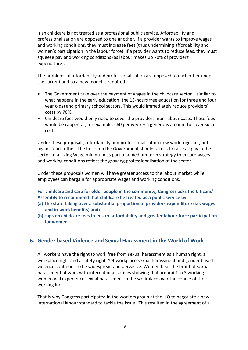Irish childcare is not treated as a professional public service. Affordability and professionalisation are opposed to one another. If a provider wants to improve wages and working conditions, they must increase fees (thus undermining affordability and women's participation in the labour force). If a provider wants to reduce fees, they must squeeze pay and working conditions (as labour makes up 70% of providers' expenditure).

The problems of affordability and professionalisation are opposed to each other under the current and so a new model is required:

- The Government take over the payment of wages in the childcare sector similar to what happens in the early education (the 15-hours free education for three and four year olds) and primary school sectors. This would immediately reduce providers' costs by 70%.
- Childcare fees would only need to cover the providers' non-labour costs. These fees would be capped at, for example, €60 per week – a generous amount to cover such costs.

Under these proposals, affordability and professionalisation now work together, not against each other. The first step the Government should take is to raise all pay in the sector to a Living Wage minimum as part of a medium term strategy to ensure wages and working conditions reflect the growing professionalisation of the sector.

Under these proposals women will have greater access to the labour market while employees can bargain for appropriate wages and working conditions.

**For childcare and care for older people in the community, Congress asks the Citizens' Assembly to recommend that childcare be treated as a public service by:**

- **(a) the state taking over a substantial proportion of providers expenditure (i.e. wages and in-work benefits) and;**
- **(b) caps on childcare fees to ensure affordability and greater labour force participation for women.**

## **6. Gender based Violence and Sexual Harassment in the World of Work**

All workers have the right to work free from sexual harassment as a human right, a workplace right and a safety right. Yet workplace sexual harassment and gender based violence continues to be widespread and pervasive. Women bear the brunt of sexual harassment at work with international studies showing that around 1 in 3 working women will experience sexual harassment in the workplace over the course of their working life.

That is why Congress participated in the workers group at the ILO to negotiate a new international labour standard to tackle the issue. This resulted in the agreement of a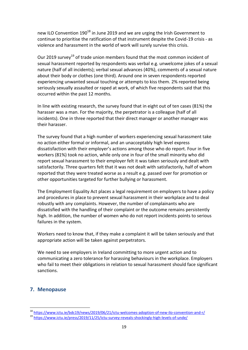new ILO Convention  $190^{18}$  in June 2019 and we are urging the Irish Government to continue to prioritise the ratification of that instrument despite the Covid-19 crisis - as violence and harassment in the world of work will surely survive this crisis.

Our 2019 survey<sup>19</sup> of trade union members found that the most common incident of sexual harassment reported by respondents was verbal e.g. unwelcome jokes of a sexual nature (half of all incidents); verbal sexual advances (40%), comments of a sexual nature about their body or clothes (one third). Around one in seven respondents reported experiencing unwanted sexual touching or attempts to kiss them. 2% reported being seriously sexually assaulted or raped at work, of which five respondents said that this occurred within the past 12 months.

In line with existing research, the survey found that in eight out of ten cases (81%) the harasser was a man. For the majority, the perpetrator is a colleague (half of all incidents). One in three reported that their direct manager or another manager was their harasser.

The survey found that a high number of workers experiencing sexual harassment take no action either formal or informal, and an unacceptably high level express dissatisfaction with their employer's actions among those who do report. Four in five workers (81%) took no action, while only one in four of the small minority who did report sexual harassment to their employer felt it was taken seriously and dealt with satisfactorily. Three quarters felt that it was not dealt with satisfactorily, half of whom reported that they were treated worse as a result e.g. passed over for promotion or other opportunities targeted for further bullying or harassment.

The Employment Equality Act places a legal requirement on employers to have a policy and procedures in place to prevent sexual harassment in their workplace and to deal robustly with any complaints. However, the number of complainants who are dissatisfied with the handling of their complaint or the outcome remains persistently high. In addition, the number of women who do not report incidents points to serious failures in the system.

Workers need to know that, if they make a complaint it will be taken seriously and that appropriate action will be taken against perpetrators.

We need to see employers in Ireland committing to more urgent action and to communicating a zero tolerance for harassing behaviours in the workplace. Employers who fail to meet their obligations in relation to sexual harassment should face significant sanctions.

## **7. Menopause**

1

<sup>&</sup>lt;sup>18</sup> <https://www.ictu.ie/bdc19/news/2019/06/21/ictu-welcomes-adoption-of-new-ilo-convention-and-r/>

<sup>19</sup> <https://www.ictu.ie/press/2019/11/25/ictu-survey-reveals-shockingly-high-levels-of-unde/>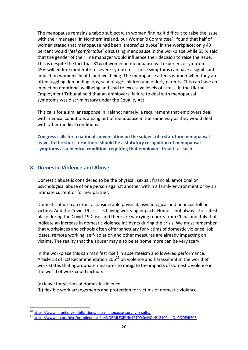The menopause remains a taboo subject with women finding it difficult to raise the issue with their manager. In Northern Ireland, our Women's Committee<sup>20</sup> found that half of women stated that menopause had been '*treated as a joke'* in the workplace; only 40 percent would '*feel comfortable*' discussing menopause in the workplace while 55 % said that the gender of their line manager would influence their decision to raise the issue. This is despite the fact that 81% of women in menopause will experience symptoms; 45% will endure moderate to severe symptoms. These symptoms can have a significant impact on womens' health and wellbeing. The menopause affects women when they are often juggling demanding jobs, school-age children and elderly parents. This can have an impact on emotional wellbeing and lead to excessive levels of stress. In the UK the Employment Tribunal held that an employers' failure to deal with menopausal symptoms was discriminatory under the Equality Act.

This calls for a similar response in Ireland; namely, a requirement that employers deal with medical conditions arising out of menopause in the same way as they would deal with other medical conditions.

**Congress calls for a national conversation on the subject of a statutory menopausal leave. In the short term there should be a statutory recognition of menopausal symptoms as a medical condition, requiring that employers treat it as such.**

## **8. Domestic Violence and Abuse**

Domestic abuse is considered to be the physical, sexual, financial, emotional or psychological abuse of one person against another within a family environment or by an intimate current or former partner.

Domestic abuse can exact a considerable physical, psychological and financial toll on victims. And the Covid-19 crisis is having worrying impact. Home is not always the safest place during the Covid-19 Crisis and there are worrying reports from China and Italy that indicate an increase in domestic violence incidents during the crisis. We must remember that workplaces and schools often offer sanctuary for victims of domestic violence. Job losses, remote working, self-isolation and other measures are already impacting on victims. The reality that the abuser may also be at home more can be very scary.

In the workplace this can manifest itself in absenteeism and lowered performance. Article 18 of ILO Recommendation  $206^{21}$  on violence and harassment in the world of work states that appropriate measures to mitigate the impacts of domestic violence in the world of work could include:

(a) leave for victims of domestic violence.

1

(b) flexible work arrangements and protection for victims of domestic violence.

<sup>&</sup>lt;sup>20</sup> <https://www.ictuni.org/publications/ictu-menopause-survey-results/>

<sup>&</sup>lt;sup>21</sup> [https://www.ilo.org/dyn/normlex/en/f?p=NORMLEXPUB:12100:0::NO::P12100\\_ILO\\_CODE:R206](https://www.ilo.org/dyn/normlex/en/f?p=NORMLEXPUB:12100:0::NO::P12100_ILO_CODE:R206)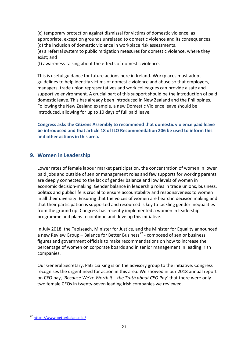(c) temporary protection against dismissal for victims of domestic violence, as appropriate, except on grounds unrelated to domestic violence and its consequences. (d) the inclusion of domestic violence in workplace risk assessments.

(e) a referral system to public mitigation measures for domestic violence, where they exist; and

(f) awareness-raising about the effects of domestic violence.

This is useful guidance for future actions here in Ireland. Workplaces must adopt guidelines to help identify victims of domestic violence and abuse so that employers, managers, trade union representatives and work colleagues can provide a safe and supportive environment. A crucial part of this support should be the introduction of paid domestic leave. This has already been introduced in New Zealand and the Philippines. Following the New Zealand example, a new Domestic Violence leave should be introduced, allowing for up to 10 days of full paid leave.

**Congress asks the Citizens Assembly to recommend that domestic violence paid leave be introduced and that article 18 of ILO Recommendation 206 be used to inform this and other actions in this area.** 

## **9. Women in Leadership**

Lower rates of female labour market participation, the concentration of women in lower paid jobs and outside of senior management roles and few supports for working parents are deeply connected to the lack of gender balance and low levels of women in economic decision-making. Gender balance in leadership roles in trade unions, business, politics and public life is crucial to ensure accountability and responsiveness to women in all their diversity. Ensuring that the voices of women are heard in decision making and that their participation is supported and resourced is key to tackling gender inequalities from the ground up. Congress has recently implemented a women in leadership programme and plans to continue and develop this initiative.

In July 2018, the Taoiseach, Minister for Justice, and the Minister for Equality announced a new Review Group – Balance for Better Business<sup>22</sup> - composed of senior business figures and government officials to make recommendations on how to increase the percentage of women on corporate boards and in senior management in leading Irish companies.

Our General Secretary, Patricia King is on the advisory group to the initiative. Congress recognises the urgent need for action in this area. We showed in our 2018 annual report on CEO pay, *'Because We're Worth it – the Truth about CEO Pay'* that there were only two female CEOs in twenty-seven leading Irish companies we reviewed.

**<sup>.</sup>** <sup>22</sup> <https://www.betterbalance.ie/>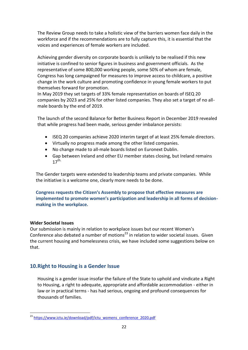The Review Group needs to take a holistic view of the barriers women face daily in the workforce and if the recommendations are to fully capture this, it is essential that the voices and experiences of female workers are included.

Achieving gender diversity on corporate boards is unlikely to be realised if this new initiative is confined to senior figures in business and government officials. As the representative of some 800,000 working people, some 50% of whom are female, Congress has long campaigned for measures to improve access to childcare, a positive change in the work culture and promoting confidence in young female workers to put themselves forward for promotion.

In May 2019 they set targets of 33% female representation on boards of ISEQ 20 companies by 2023 and 25% for other listed companies. They also set a target of no allmale boards by the end of 2019.

The launch of the second Balance for Better Business Report in December 2019 revealed that while progress had been made, serious gender imbalance persists:

- ISEQ 20 companies achieve 2020 interim target of at least 25% female directors.
- Virtually no progress made among the other listed companies.
- No change made to all-male boards listed on Euronext Dublin.
- Gap between Ireland and other EU member states closing, but Ireland remains  $17^{th}$

The Gender targets were extended to leadership teams and private companies. While the initiative is a welcome one, clearly more needs to be done.

**Congress requests the Citizen's Assembly to propose that effective measures are implemented to promote women's participation and leadership in all forms of decisionmaking in the workplace.**

## **Wider Societal Issues**

Our submission is mainly in relation to workplace issues but our recent Women's Conference also debated a number of motions<sup>23</sup> in relation to wider societal issues. Given the current housing and homelessness crisis, we have included some suggestions below on that.

## **10.Right to Housing is a Gender Issue**

Housing is a gender issue insofar the failure of the State to uphold and vindicate a Right to Housing, a right to adequate, appropriate and affordable accommodation - either in law or in practical terms - has had serious, ongoing and profound consequences for thousands of families.

**<sup>.</sup>** <sup>23</sup> [https://www.ictu.ie/download/pdf/ictu\\_womens\\_conference\\_2020.pdf](https://www.ictu.ie/download/pdf/ictu_womens_conference_2020.pdf)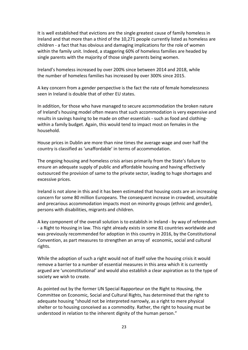It is well established that evictions are the single greatest cause of family homeless in Ireland and that more than a third of the 10,271 people currently listed as homeless are children - a fact that has obvious and damaging implications for the role of women within the family unit. Indeed, a staggering 60% of homeless families are headed by single parents with the majority of those single parents being women.

Ireland's homeless increased by over 200% since between 2014 and 2018, while the number of homeless families has increased by over 300% since 2015.

A key concern from a gender perspective is the fact the rate of female homelessness seen in Ireland is double that of other EU states.

In addition, for those who have managed to secure accommodation the broken nature of Ireland's housing model often means that such accommodation is very expensive and results in savings having to be made on other essentials - such as food and clothingwithin a family budget. Again, this would tend to impact most on females in the household.

House prices in Dublin are more than nine times the average wage and over half the country is classified as 'unaffordable' in terms of accommodation.

The ongoing housing and homeless crisis arises primarily from the State's failure to ensure an adequate supply of public and affordable housing and having effectively outsourced the provision of same to the private sector, leading to huge shortages and excessive prices.

Ireland is not alone in this and it has been estimated that housing costs are an increasing concern for some 80 million Europeans. The consequent increase in crowded, unsuitable and precarious accommodation impacts most on minority groups (ethnic and gender), persons with disabilities, migrants and children.

A key component of the overall solution is to establish in Ireland - by way of referendum - a Right to Housing in law. This right already exists in some 81 countries worldwide and was previously recommended for adoption in this country in 2016, by the Constitutional Convention, as part measures to strengthen an array of economic, social and cultural rights.

While the adoption of such a right would not of itself solve the housing crisis it would remove a barrier to a number of essential measures in this area which it is currently argued are 'unconstitutional' and would also establish a clear aspiration as to the type of society we wish to create.

As pointed out by the former UN Special Rapporteur on the Right to Housing, the Committee on Economic, Social and Cultural Rights, has determined that the right to adequate housing "should not be interpreted narrowly, as a right to mere physical shelter or to housing conceived as a commodity. Rather, the right to housing must be understood in relation to the inherent dignity of the human person."